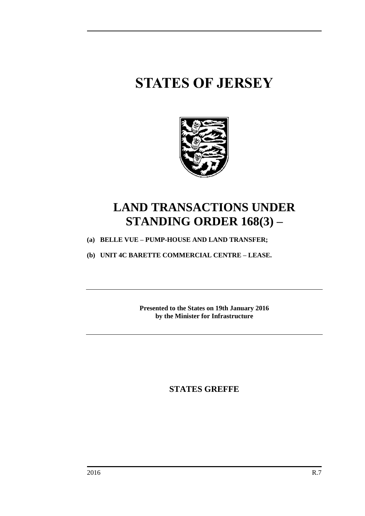# **STATES OF JERSEY**



## **LAND TRANSACTIONS UNDER STANDING ORDER 168(3) –**

**(a) BELLE VUE – PUMP-HOUSE AND LAND TRANSFER;**

**(b) UNIT 4C BARETTE COMMERCIAL CENTRE – LEASE.**

**Presented to the States on 19th January 2016 by the Minister for Infrastructure**

**STATES GREFFE**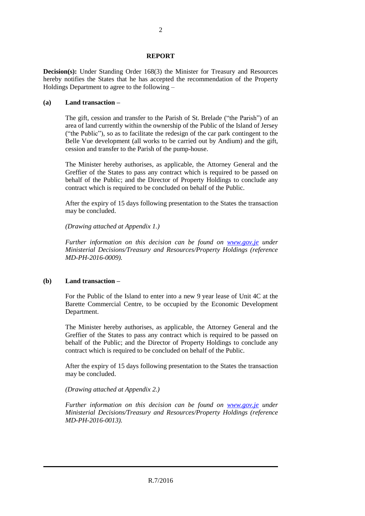#### **REPORT**

**Decision(s):** Under Standing Order 168(3) the Minister for Treasury and Resources hereby notifies the States that he has accepted the recommendation of the Property Holdings Department to agree to the following –

#### **(a) Land transaction –**

The gift, cession and transfer to the Parish of St. Brelade ("the Parish") of an area of land currently within the ownership of the Public of the Island of Jersey ("the Public"), so as to facilitate the redesign of the car park contingent to the Belle Vue development (all works to be carried out by Andium) and the gift, cession and transfer to the Parish of the pump-house.

The Minister hereby authorises, as applicable, the Attorney General and the Greffier of the States to pass any contract which is required to be passed on behalf of the Public; and the Director of Property Holdings to conclude any contract which is required to be concluded on behalf of the Public.

After the expiry of 15 days following presentation to the States the transaction may be concluded.

*(Drawing attached at Appendix 1.)*

*Further information on this decision can be found on [www.gov.je](http://www.gov.je/) under Ministerial Decisions/Treasury and Resources/Property Holdings (reference MD-PH-2016-0009).*

### **(b) Land transaction –**

For the Public of the Island to enter into a new 9 year lease of Unit 4C at the Barette Commercial Centre, to be occupied by the Economic Development Department.

The Minister hereby authorises, as applicable, the Attorney General and the Greffier of the States to pass any contract which is required to be passed on behalf of the Public; and the Director of Property Holdings to conclude any contract which is required to be concluded on behalf of the Public.

After the expiry of 15 days following presentation to the States the transaction may be concluded.

*(Drawing attached at Appendix 2.)*

*Further information on this decision can be found on <i>[www.gov.je](http://www.gov.je/)* under *Ministerial Decisions/Treasury and Resources/Property Holdings (reference MD-PH-2016-0013).*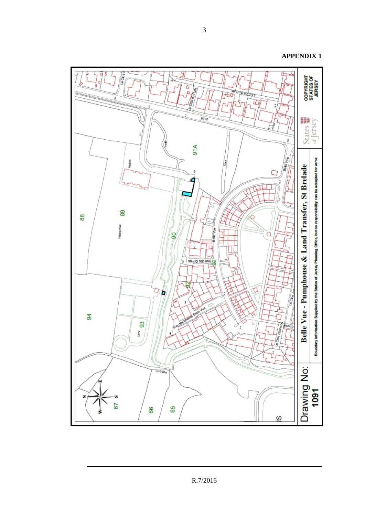

**APPENDIX 1**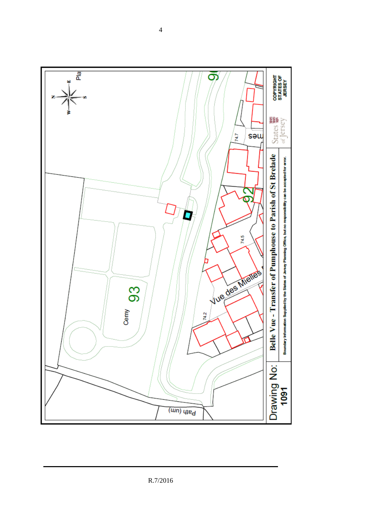